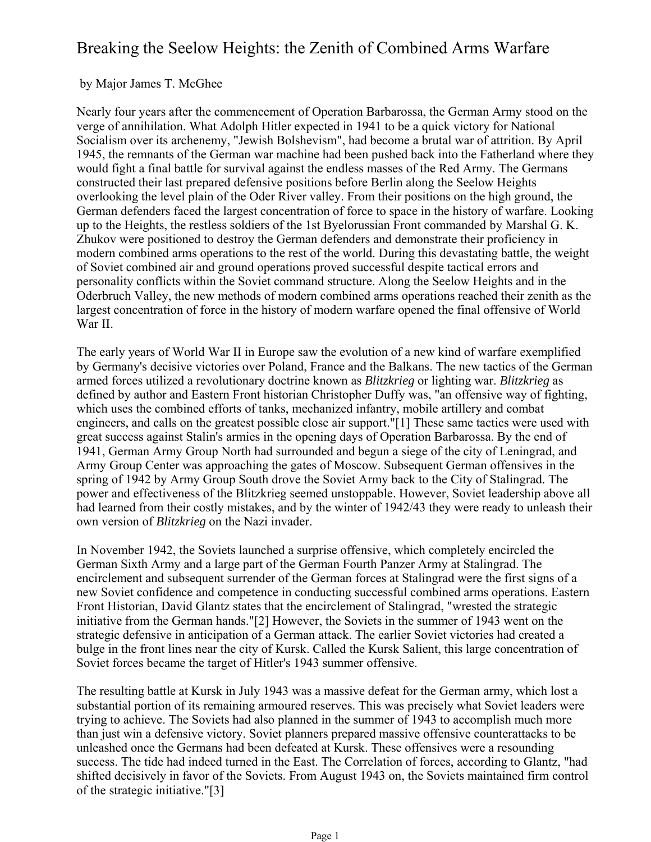# Breaking the Seelow Heights: the Zenith of Combined Arms Warfare

## by Major James T. McGhee

Nearly four years after the commencement of Operation Barbarossa, the German Army stood on the verge of annihilation. What Adolph Hitler expected in 1941 to be a quick victory for National Socialism over its archenemy, "Jewish Bolshevism", had become a brutal war of attrition. By April 1945, the remnants of the German war machine had been pushed back into the Fatherland where they would fight a final battle for survival against the endless masses of the Red Army. The Germans constructed their last prepared defensive positions before Berlin along the Seelow Heights overlooking the level plain of the Oder River valley. From their positions on the high ground, the German defenders faced the largest concentration of force to space in the history of warfare. Looking up to the Heights, the restless soldiers of the 1st Byelorussian Front commanded by Marshal G. K. Zhukov were positioned to destroy the German defenders and demonstrate their proficiency in modern combined arms operations to the rest of the world. During this devastating battle, the weight of Soviet combined air and ground operations proved successful despite tactical errors and personality conflicts within the Soviet command structure. Along the Seelow Heights and in the Oderbruch Valley, the new methods of modern combined arms operations reached their zenith as the largest concentration of force in the history of modern warfare opened the final offensive of World War II.

The early years of World War II in Europe saw the evolution of a new kind of warfare exemplified by Germany's decisive victories over Poland, France and the Balkans. The new tactics of the German armed forces utilized a revolutionary doctrine known as *Blitzkrieg* or lighting war. *Blitzkrieg* as defined by author and Eastern Front historian Christopher Duffy was, "an offensive way of fighting, which uses the combined efforts of tanks, mechanized infantry, mobile artillery and combat engineers, and calls on the greatest possible close air support."[1] These same tactics were used with great success against Stalin's armies in the opening days of Operation Barbarossa. By the end of 1941, German Army Group North had surrounded and begun a siege of the city of Leningrad, and Army Group Center was approaching the gates of Moscow. Subsequent German offensives in the spring of 1942 by Army Group South drove the Soviet Army back to the City of Stalingrad. The power and effectiveness of the Blitzkrieg seemed unstoppable. However, Soviet leadership above all had learned from their costly mistakes, and by the winter of 1942/43 they were ready to unleash their own version of *Blitzkrieg* on the Nazi invader.

In November 1942, the Soviets launched a surprise offensive, which completely encircled the German Sixth Army and a large part of the German Fourth Panzer Army at Stalingrad. The encirclement and subsequent surrender of the German forces at Stalingrad were the first signs of a new Soviet confidence and competence in conducting successful combined arms operations. Eastern Front Historian, David Glantz states that the encirclement of Stalingrad, "wrested the strategic initiative from the German hands."[2] However, the Soviets in the summer of 1943 went on the strategic defensive in anticipation of a German attack. The earlier Soviet victories had created a bulge in the front lines near the city of Kursk. Called the Kursk Salient, this large concentration of Soviet forces became the target of Hitler's 1943 summer offensive.

The resulting battle at Kursk in July 1943 was a massive defeat for the German army, which lost a substantial portion of its remaining armoured reserves. This was precisely what Soviet leaders were trying to achieve. The Soviets had also planned in the summer of 1943 to accomplish much more than just win a defensive victory. Soviet planners prepared massive offensive counterattacks to be unleashed once the Germans had been defeated at Kursk. These offensives were a resounding success. The tide had indeed turned in the East. The Correlation of forces, according to Glantz, "had shifted decisively in favor of the Soviets. From August 1943 on, the Soviets maintained firm control of the strategic initiative."[3]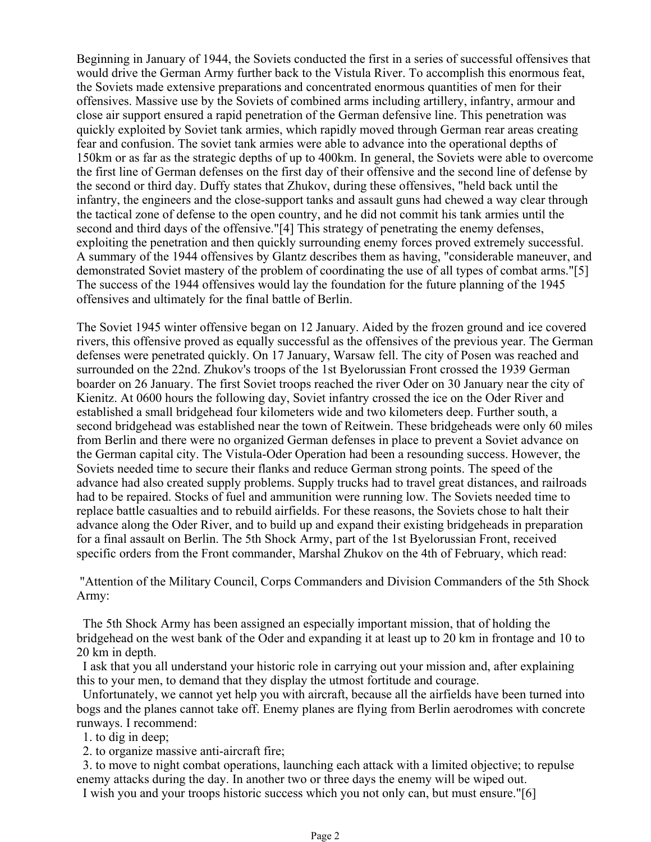Beginning in January of 1944, the Soviets conducted the first in a series of successful offensives that would drive the German Army further back to the Vistula River. To accomplish this enormous feat, the Soviets made extensive preparations and concentrated enormous quantities of men for their offensives. Massive use by the Soviets of combined arms including artillery, infantry, armour and close air support ensured a rapid penetration of the German defensive line. This penetration was quickly exploited by Soviet tank armies, which rapidly moved through German rear areas creating fear and confusion. The soviet tank armies were able to advance into the operational depths of 150km or as far as the strategic depths of up to 400km. In general, the Soviets were able to overcome the first line of German defenses on the first day of their offensive and the second line of defense by the second or third day. Duffy states that Zhukov, during these offensives, "held back until the infantry, the engineers and the close-support tanks and assault guns had chewed a way clear through the tactical zone of defense to the open country, and he did not commit his tank armies until the second and third days of the offensive."[4] This strategy of penetrating the enemy defenses, exploiting the penetration and then quickly surrounding enemy forces proved extremely successful. A summary of the 1944 offensives by Glantz describes them as having, "considerable maneuver, and demonstrated Soviet mastery of the problem of coordinating the use of all types of combat arms."[5] The success of the 1944 offensives would lay the foundation for the future planning of the 1945 offensives and ultimately for the final battle of Berlin.

The Soviet 1945 winter offensive began on 12 January. Aided by the frozen ground and ice covered rivers, this offensive proved as equally successful as the offensives of the previous year. The German defenses were penetrated quickly. On 17 January, Warsaw fell. The city of Posen was reached and surrounded on the 22nd. Zhukov's troops of the 1st Byelorussian Front crossed the 1939 German boarder on 26 January. The first Soviet troops reached the river Oder on 30 January near the city of Kienitz. At 0600 hours the following day, Soviet infantry crossed the ice on the Oder River and established a small bridgehead four kilometers wide and two kilometers deep. Further south, a second bridgehead was established near the town of Reitwein. These bridgeheads were only 60 miles from Berlin and there were no organized German defenses in place to prevent a Soviet advance on the German capital city. The Vistula-Oder Operation had been a resounding success. However, the Soviets needed time to secure their flanks and reduce German strong points. The speed of the advance had also created supply problems. Supply trucks had to travel great distances, and railroads had to be repaired. Stocks of fuel and ammunition were running low. The Soviets needed time to replace battle casualties and to rebuild airfields. For these reasons, the Soviets chose to halt their advance along the Oder River, and to build up and expand their existing bridgeheads in preparation for a final assault on Berlin. The 5th Shock Army, part of the 1st Byelorussian Front, received specific orders from the Front commander, Marshal Zhukov on the 4th of February, which read:

"Attention of the Military Council, Corps Commanders and Division Commanders of the 5th Shock Army:

The 5th Shock Army has been assigned an especially important mission, that of holding the bridgehead on the west bank of the Oder and expanding it at least up to 20 km in frontage and 10 to 20 km in depth.

I ask that you all understand your historic role in carrying out your mission and, after explaining this to your men, to demand that they display the utmost fortitude and courage.

Unfortunately, we cannot yet help you with aircraft, because all the airfields have been turned into bogs and the planes cannot take off. Enemy planes are flying from Berlin aerodromes with concrete runways. I recommend:

1. to dig in deep;

2. to organize massive anti-aircraft fire;

3. to move to night combat operations, launching each attack with a limited objective; to repulse enemy attacks during the day. In another two or three days the enemy will be wiped out.

I wish you and your troops historic success which you not only can, but must ensure."[6]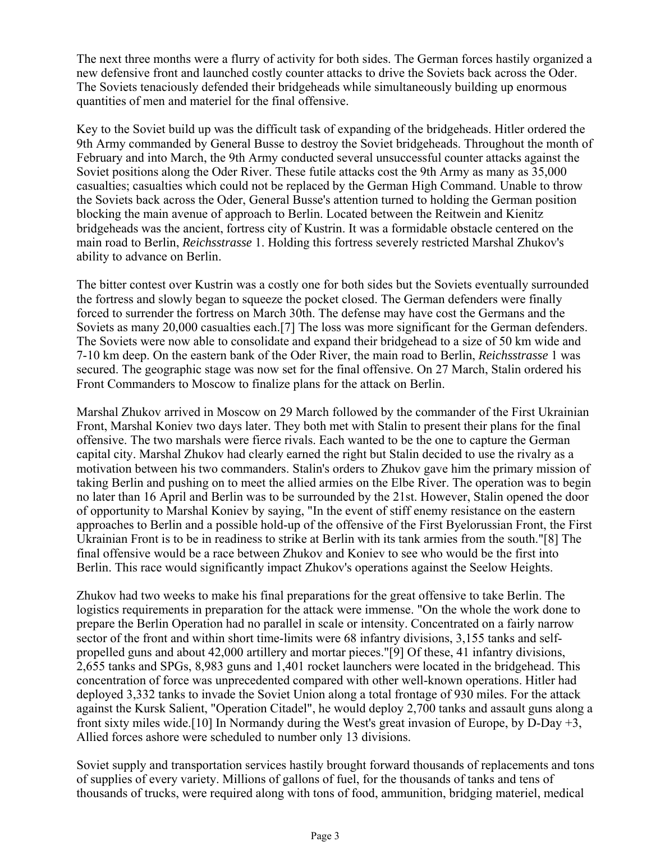The next three months were a flurry of activity for both sides. The German forces hastily organized a new defensive front and launched costly counter attacks to drive the Soviets back across the Oder. The Soviets tenaciously defended their bridgeheads while simultaneously building up enormous quantities of men and materiel for the final offensive.

Key to the Soviet build up was the difficult task of expanding of the bridgeheads. Hitler ordered the 9th Army commanded by General Busse to destroy the Soviet bridgeheads. Throughout the month of February and into March, the 9th Army conducted several unsuccessful counter attacks against the Soviet positions along the Oder River. These futile attacks cost the 9th Army as many as 35,000 casualties; casualties which could not be replaced by the German High Command. Unable to throw the Soviets back across the Oder, General Busse's attention turned to holding the German position blocking the main avenue of approach to Berlin. Located between the Reitwein and Kienitz bridgeheads was the ancient, fortress city of Kustrin. It was a formidable obstacle centered on the main road to Berlin, *Reichsstrasse* 1. Holding this fortress severely restricted Marshal Zhukov's ability to advance on Berlin.

The bitter contest over Kustrin was a costly one for both sides but the Soviets eventually surrounded the fortress and slowly began to squeeze the pocket closed. The German defenders were finally forced to surrender the fortress on March 30th. The defense may have cost the Germans and the Soviets as many 20,000 casualties each.[7] The loss was more significant for the German defenders. The Soviets were now able to consolidate and expand their bridgehead to a size of 50 km wide and 7-10 km deep. On the eastern bank of the Oder River, the main road to Berlin, *Reichsstrasse* 1 was secured. The geographic stage was now set for the final offensive. On 27 March, Stalin ordered his Front Commanders to Moscow to finalize plans for the attack on Berlin.

Marshal Zhukov arrived in Moscow on 29 March followed by the commander of the First Ukrainian Front, Marshal Koniev two days later. They both met with Stalin to present their plans for the final offensive. The two marshals were fierce rivals. Each wanted to be the one to capture the German capital city. Marshal Zhukov had clearly earned the right but Stalin decided to use the rivalry as a motivation between his two commanders. Stalin's orders to Zhukov gave him the primary mission of taking Berlin and pushing on to meet the allied armies on the Elbe River. The operation was to begin no later than 16 April and Berlin was to be surrounded by the 21st. However, Stalin opened the door of opportunity to Marshal Koniev by saying, "In the event of stiff enemy resistance on the eastern approaches to Berlin and a possible hold-up of the offensive of the First Byelorussian Front, the First Ukrainian Front is to be in readiness to strike at Berlin with its tank armies from the south."[8] The final offensive would be a race between Zhukov and Koniev to see who would be the first into Berlin. This race would significantly impact Zhukov's operations against the Seelow Heights.

Zhukov had two weeks to make his final preparations for the great offensive to take Berlin. The logistics requirements in preparation for the attack were immense. "On the whole the work done to prepare the Berlin Operation had no parallel in scale or intensity. Concentrated on a fairly narrow sector of the front and within short time-limits were 68 infantry divisions, 3,155 tanks and selfpropelled guns and about 42,000 artillery and mortar pieces."[9] Of these, 41 infantry divisions, 2,655 tanks and SPGs, 8,983 guns and 1,401 rocket launchers were located in the bridgehead. This concentration of force was unprecedented compared with other well-known operations. Hitler had deployed 3,332 tanks to invade the Soviet Union along a total frontage of 930 miles. For the attack against the Kursk Salient, "Operation Citadel", he would deploy 2,700 tanks and assault guns along a front sixty miles wide.[10] In Normandy during the West's great invasion of Europe, by D-Day +3, Allied forces ashore were scheduled to number only 13 divisions.

Soviet supply and transportation services hastily brought forward thousands of replacements and tons of supplies of every variety. Millions of gallons of fuel, for the thousands of tanks and tens of thousands of trucks, were required along with tons of food, ammunition, bridging materiel, medical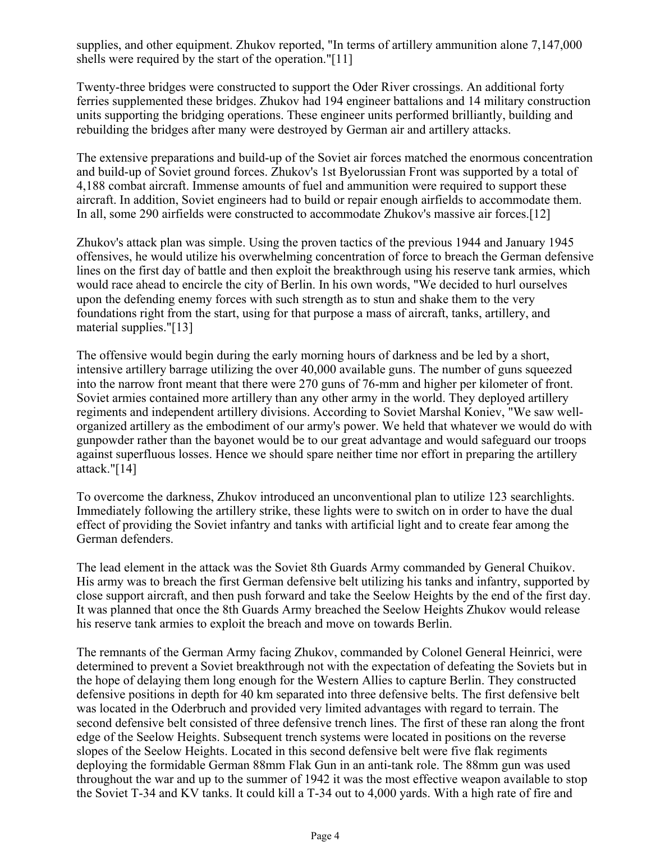supplies, and other equipment. Zhukov reported, "In terms of artillery ammunition alone 7,147,000 shells were required by the start of the operation."[11]

Twenty-three bridges were constructed to support the Oder River crossings. An additional forty ferries supplemented these bridges. Zhukov had 194 engineer battalions and 14 military construction units supporting the bridging operations. These engineer units performed brilliantly, building and rebuilding the bridges after many were destroyed by German air and artillery attacks.

The extensive preparations and build-up of the Soviet air forces matched the enormous concentration and build-up of Soviet ground forces. Zhukov's 1st Byelorussian Front was supported by a total of 4,188 combat aircraft. Immense amounts of fuel and ammunition were required to support these aircraft. In addition, Soviet engineers had to build or repair enough airfields to accommodate them. In all, some 290 airfields were constructed to accommodate Zhukov's massive air forces.[12]

Zhukov's attack plan was simple. Using the proven tactics of the previous 1944 and January 1945 offensives, he would utilize his overwhelming concentration of force to breach the German defensive lines on the first day of battle and then exploit the breakthrough using his reserve tank armies, which would race ahead to encircle the city of Berlin. In his own words, "We decided to hurl ourselves upon the defending enemy forces with such strength as to stun and shake them to the very foundations right from the start, using for that purpose a mass of aircraft, tanks, artillery, and material supplies."[13]

The offensive would begin during the early morning hours of darkness and be led by a short, intensive artillery barrage utilizing the over 40,000 available guns. The number of guns squeezed into the narrow front meant that there were 270 guns of 76-mm and higher per kilometer of front. Soviet armies contained more artillery than any other army in the world. They deployed artillery regiments and independent artillery divisions. According to Soviet Marshal Koniev, "We saw wellorganized artillery as the embodiment of our army's power. We held that whatever we would do with gunpowder rather than the bayonet would be to our great advantage and would safeguard our troops against superfluous losses. Hence we should spare neither time nor effort in preparing the artillery attack."[14]

To overcome the darkness, Zhukov introduced an unconventional plan to utilize 123 searchlights. Immediately following the artillery strike, these lights were to switch on in order to have the dual effect of providing the Soviet infantry and tanks with artificial light and to create fear among the German defenders.

The lead element in the attack was the Soviet 8th Guards Army commanded by General Chuikov. His army was to breach the first German defensive belt utilizing his tanks and infantry, supported by close support aircraft, and then push forward and take the Seelow Heights by the end of the first day. It was planned that once the 8th Guards Army breached the Seelow Heights Zhukov would release his reserve tank armies to exploit the breach and move on towards Berlin.

The remnants of the German Army facing Zhukov, commanded by Colonel General Heinrici, were determined to prevent a Soviet breakthrough not with the expectation of defeating the Soviets but in the hope of delaying them long enough for the Western Allies to capture Berlin. They constructed defensive positions in depth for 40 km separated into three defensive belts. The first defensive belt was located in the Oderbruch and provided very limited advantages with regard to terrain. The second defensive belt consisted of three defensive trench lines. The first of these ran along the front edge of the Seelow Heights. Subsequent trench systems were located in positions on the reverse slopes of the Seelow Heights. Located in this second defensive belt were five flak regiments deploying the formidable German 88mm Flak Gun in an anti-tank role. The 88mm gun was used throughout the war and up to the summer of 1942 it was the most effective weapon available to stop the Soviet T-34 and KV tanks. It could kill a T-34 out to 4,000 yards. With a high rate of fire and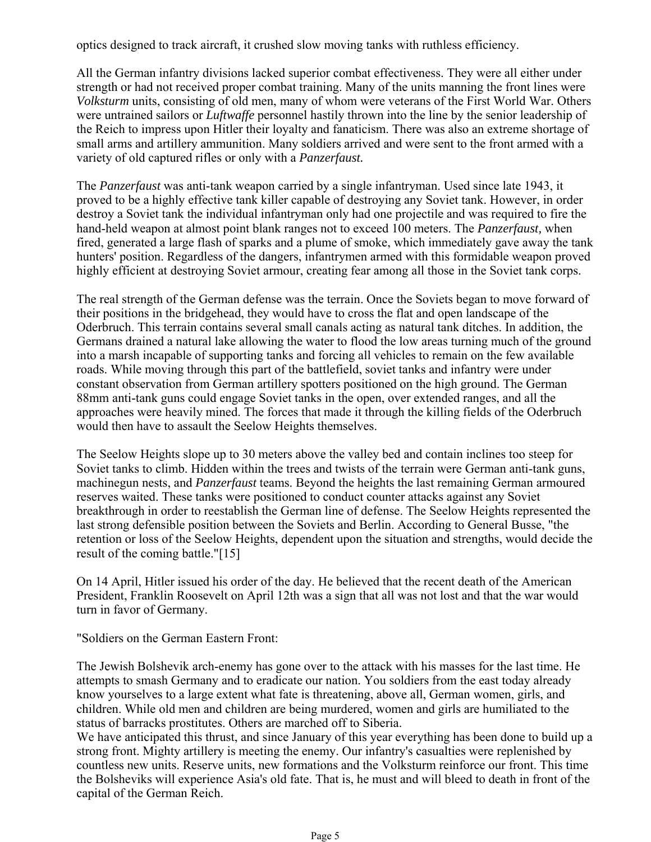optics designed to track aircraft, it crushed slow moving tanks with ruthless efficiency.

All the German infantry divisions lacked superior combat effectiveness. They were all either under strength or had not received proper combat training. Many of the units manning the front lines were *Volksturm* units, consisting of old men, many of whom were veterans of the First World War. Others were untrained sailors or *Luftwaffe* personnel hastily thrown into the line by the senior leadership of the Reich to impress upon Hitler their loyalty and fanaticism. There was also an extreme shortage of small arms and artillery ammunition. Many soldiers arrived and were sent to the front armed with a variety of old captured rifles or only with a *Panzerfaust.*

The *Panzerfaust* was anti-tank weapon carried by a single infantryman. Used since late 1943, it proved to be a highly effective tank killer capable of destroying any Soviet tank. However, in order destroy a Soviet tank the individual infantryman only had one projectile and was required to fire the hand-held weapon at almost point blank ranges not to exceed 100 meters. The *Panzerfaust,* when fired, generated a large flash of sparks and a plume of smoke, which immediately gave away the tank hunters' position. Regardless of the dangers, infantrymen armed with this formidable weapon proved highly efficient at destroying Soviet armour, creating fear among all those in the Soviet tank corps.

The real strength of the German defense was the terrain. Once the Soviets began to move forward of their positions in the bridgehead, they would have to cross the flat and open landscape of the Oderbruch. This terrain contains several small canals acting as natural tank ditches. In addition, the Germans drained a natural lake allowing the water to flood the low areas turning much of the ground into a marsh incapable of supporting tanks and forcing all vehicles to remain on the few available roads. While moving through this part of the battlefield, soviet tanks and infantry were under constant observation from German artillery spotters positioned on the high ground. The German 88mm anti-tank guns could engage Soviet tanks in the open, over extended ranges, and all the approaches were heavily mined. The forces that made it through the killing fields of the Oderbruch would then have to assault the Seelow Heights themselves.

The Seelow Heights slope up to 30 meters above the valley bed and contain inclines too steep for Soviet tanks to climb. Hidden within the trees and twists of the terrain were German anti-tank guns, machinegun nests, and *Panzerfaust* teams. Beyond the heights the last remaining German armoured reserves waited. These tanks were positioned to conduct counter attacks against any Soviet breakthrough in order to reestablish the German line of defense. The Seelow Heights represented the last strong defensible position between the Soviets and Berlin. According to General Busse, "the retention or loss of the Seelow Heights, dependent upon the situation and strengths, would decide the result of the coming battle."[15]

On 14 April, Hitler issued his order of the day. He believed that the recent death of the American President, Franklin Roosevelt on April 12th was a sign that all was not lost and that the war would turn in favor of Germany.

"Soldiers on the German Eastern Front:

The Jewish Bolshevik arch-enemy has gone over to the attack with his masses for the last time. He attempts to smash Germany and to eradicate our nation. You soldiers from the east today already know yourselves to a large extent what fate is threatening, above all, German women, girls, and children. While old men and children are being murdered, women and girls are humiliated to the status of barracks prostitutes. Others are marched off to Siberia.

We have anticipated this thrust, and since January of this year everything has been done to build up a strong front. Mighty artillery is meeting the enemy. Our infantry's casualties were replenished by countless new units. Reserve units, new formations and the Volksturm reinforce our front. This time the Bolsheviks will experience Asia's old fate. That is, he must and will bleed to death in front of the capital of the German Reich.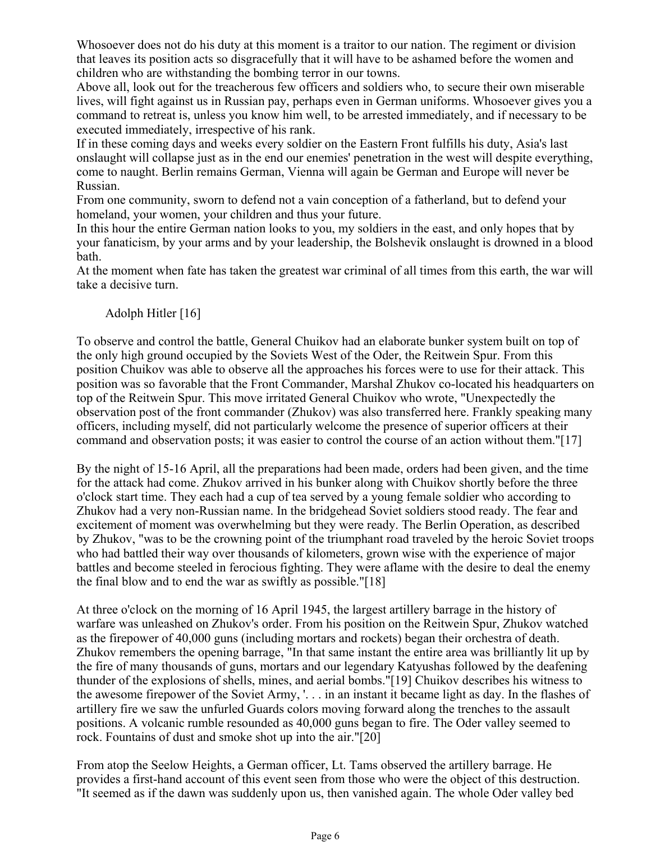Whosoever does not do his duty at this moment is a traitor to our nation. The regiment or division that leaves its position acts so disgracefully that it will have to be ashamed before the women and children who are withstanding the bombing terror in our towns.

Above all, look out for the treacherous few officers and soldiers who, to secure their own miserable lives, will fight against us in Russian pay, perhaps even in German uniforms. Whosoever gives you a command to retreat is, unless you know him well, to be arrested immediately, and if necessary to be executed immediately, irrespective of his rank.

If in these coming days and weeks every soldier on the Eastern Front fulfills his duty, Asia's last onslaught will collapse just as in the end our enemies' penetration in the west will despite everything, come to naught. Berlin remains German, Vienna will again be German and Europe will never be Russian.

From one community, sworn to defend not a vain conception of a fatherland, but to defend your homeland, your women, your children and thus your future.

In this hour the entire German nation looks to you, my soldiers in the east, and only hopes that by your fanaticism, by your arms and by your leadership, the Bolshevik onslaught is drowned in a blood bath.

At the moment when fate has taken the greatest war criminal of all times from this earth, the war will take a decisive turn.

# Adolph Hitler [16]

To observe and control the battle, General Chuikov had an elaborate bunker system built on top of the only high ground occupied by the Soviets West of the Oder, the Reitwein Spur. From this position Chuikov was able to observe all the approaches his forces were to use for their attack. This position was so favorable that the Front Commander, Marshal Zhukov co-located his headquarters on top of the Reitwein Spur. This move irritated General Chuikov who wrote, "Unexpectedly the observation post of the front commander (Zhukov) was also transferred here. Frankly speaking many officers, including myself, did not particularly welcome the presence of superior officers at their command and observation posts; it was easier to control the course of an action without them."[17]

By the night of 15-16 April, all the preparations had been made, orders had been given, and the time for the attack had come. Zhukov arrived in his bunker along with Chuikov shortly before the three o'clock start time. They each had a cup of tea served by a young female soldier who according to Zhukov had a very non-Russian name. In the bridgehead Soviet soldiers stood ready. The fear and excitement of moment was overwhelming but they were ready. The Berlin Operation, as described by Zhukov, "was to be the crowning point of the triumphant road traveled by the heroic Soviet troops who had battled their way over thousands of kilometers, grown wise with the experience of major battles and become steeled in ferocious fighting. They were aflame with the desire to deal the enemy the final blow and to end the war as swiftly as possible."[18]

At three o'clock on the morning of 16 April 1945, the largest artillery barrage in the history of warfare was unleashed on Zhukov's order. From his position on the Reitwein Spur, Zhukov watched as the firepower of 40,000 guns (including mortars and rockets) began their orchestra of death. Zhukov remembers the opening barrage, "In that same instant the entire area was brilliantly lit up by the fire of many thousands of guns, mortars and our legendary Katyushas followed by the deafening thunder of the explosions of shells, mines, and aerial bombs."[19] Chuikov describes his witness to the awesome firepower of the Soviet Army, '. . . in an instant it became light as day. In the flashes of artillery fire we saw the unfurled Guards colors moving forward along the trenches to the assault positions. A volcanic rumble resounded as 40,000 guns began to fire. The Oder valley seemed to rock. Fountains of dust and smoke shot up into the air."[20]

From atop the Seelow Heights, a German officer, Lt. Tams observed the artillery barrage. He provides a first-hand account of this event seen from those who were the object of this destruction. "It seemed as if the dawn was suddenly upon us, then vanished again. The whole Oder valley bed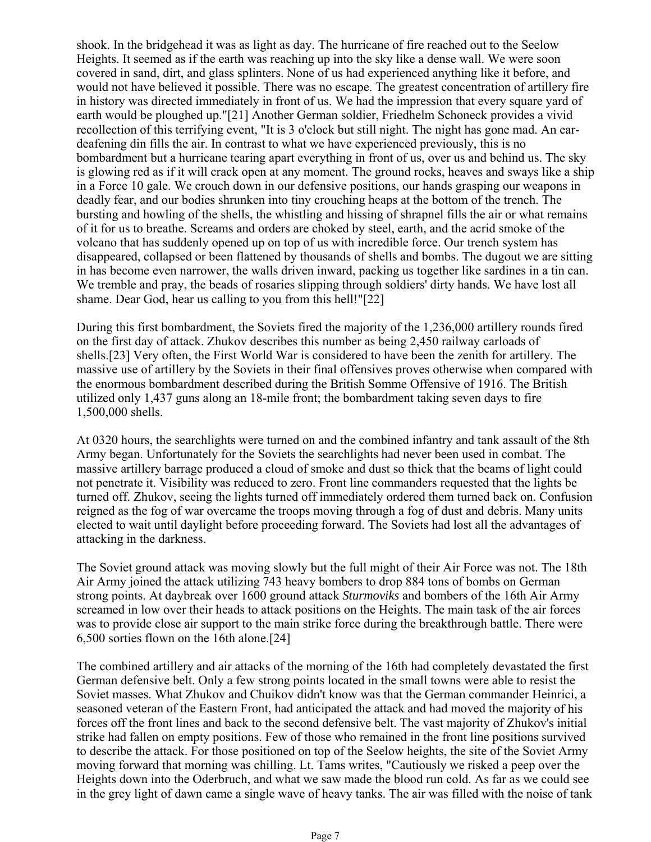shook. In the bridgehead it was as light as day. The hurricane of fire reached out to the Seelow Heights. It seemed as if the earth was reaching up into the sky like a dense wall. We were soon covered in sand, dirt, and glass splinters. None of us had experienced anything like it before, and would not have believed it possible. There was no escape. The greatest concentration of artillery fire in history was directed immediately in front of us. We had the impression that every square yard of earth would be ploughed up."[21] Another German soldier, Friedhelm Schoneck provides a vivid recollection of this terrifying event, "It is 3 o'clock but still night. The night has gone mad. An eardeafening din fills the air. In contrast to what we have experienced previously, this is no bombardment but a hurricane tearing apart everything in front of us, over us and behind us. The sky is glowing red as if it will crack open at any moment. The ground rocks, heaves and sways like a ship in a Force 10 gale. We crouch down in our defensive positions, our hands grasping our weapons in deadly fear, and our bodies shrunken into tiny crouching heaps at the bottom of the trench. The bursting and howling of the shells, the whistling and hissing of shrapnel fills the air or what remains of it for us to breathe. Screams and orders are choked by steel, earth, and the acrid smoke of the volcano that has suddenly opened up on top of us with incredible force. Our trench system has disappeared, collapsed or been flattened by thousands of shells and bombs. The dugout we are sitting in has become even narrower, the walls driven inward, packing us together like sardines in a tin can. We tremble and pray, the beads of rosaries slipping through soldiers' dirty hands. We have lost all shame. Dear God, hear us calling to you from this hell!"[22]

During this first bombardment, the Soviets fired the majority of the 1,236,000 artillery rounds fired on the first day of attack. Zhukov describes this number as being 2,450 railway carloads of shells.[23] Very often, the First World War is considered to have been the zenith for artillery. The massive use of artillery by the Soviets in their final offensives proves otherwise when compared with the enormous bombardment described during the British Somme Offensive of 1916. The British utilized only 1,437 guns along an 18-mile front; the bombardment taking seven days to fire 1,500,000 shells.

At 0320 hours, the searchlights were turned on and the combined infantry and tank assault of the 8th Army began. Unfortunately for the Soviets the searchlights had never been used in combat. The massive artillery barrage produced a cloud of smoke and dust so thick that the beams of light could not penetrate it. Visibility was reduced to zero. Front line commanders requested that the lights be turned off. Zhukov, seeing the lights turned off immediately ordered them turned back on. Confusion reigned as the fog of war overcame the troops moving through a fog of dust and debris. Many units elected to wait until daylight before proceeding forward. The Soviets had lost all the advantages of attacking in the darkness.

The Soviet ground attack was moving slowly but the full might of their Air Force was not. The 18th Air Army joined the attack utilizing 743 heavy bombers to drop 884 tons of bombs on German strong points. At daybreak over 1600 ground attack *Sturmoviks* and bombers of the 16th Air Army screamed in low over their heads to attack positions on the Heights. The main task of the air forces was to provide close air support to the main strike force during the breakthrough battle. There were 6,500 sorties flown on the 16th alone.[24]

The combined artillery and air attacks of the morning of the 16th had completely devastated the first German defensive belt. Only a few strong points located in the small towns were able to resist the Soviet masses. What Zhukov and Chuikov didn't know was that the German commander Heinrici, a seasoned veteran of the Eastern Front, had anticipated the attack and had moved the majority of his forces off the front lines and back to the second defensive belt. The vast majority of Zhukov's initial strike had fallen on empty positions. Few of those who remained in the front line positions survived to describe the attack. For those positioned on top of the Seelow heights, the site of the Soviet Army moving forward that morning was chilling. Lt. Tams writes, "Cautiously we risked a peep over the Heights down into the Oderbruch, and what we saw made the blood run cold. As far as we could see in the grey light of dawn came a single wave of heavy tanks. The air was filled with the noise of tank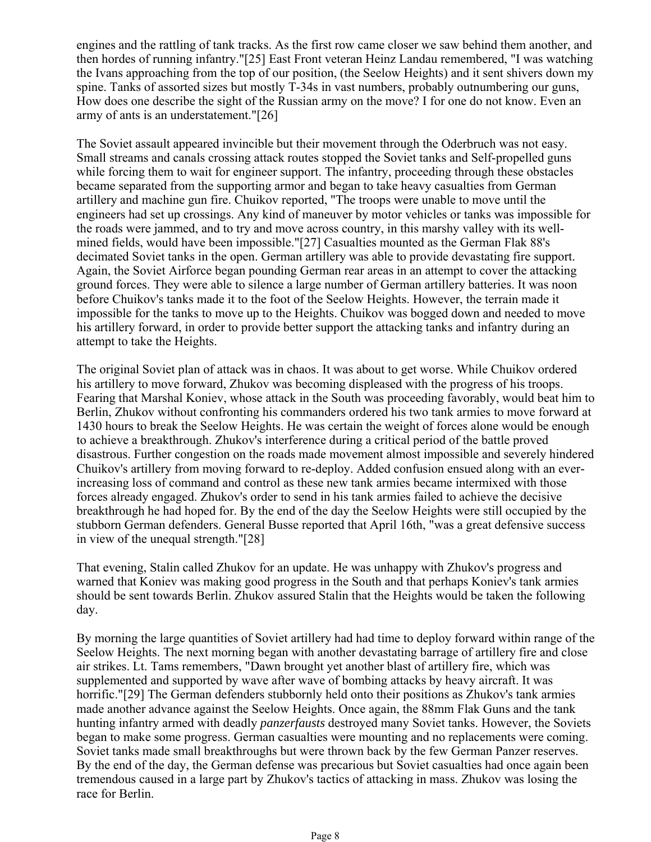engines and the rattling of tank tracks. As the first row came closer we saw behind them another, and then hordes of running infantry."[25] East Front veteran Heinz Landau remembered, "I was watching the Ivans approaching from the top of our position, (the Seelow Heights) and it sent shivers down my spine. Tanks of assorted sizes but mostly T-34s in vast numbers, probably outnumbering our guns, How does one describe the sight of the Russian army on the move? I for one do not know. Even an army of ants is an understatement."[26]

The Soviet assault appeared invincible but their movement through the Oderbruch was not easy. Small streams and canals crossing attack routes stopped the Soviet tanks and Self-propelled guns while forcing them to wait for engineer support. The infantry, proceeding through these obstacles became separated from the supporting armor and began to take heavy casualties from German artillery and machine gun fire. Chuikov reported, "The troops were unable to move until the engineers had set up crossings. Any kind of maneuver by motor vehicles or tanks was impossible for the roads were jammed, and to try and move across country, in this marshy valley with its wellmined fields, would have been impossible."[27] Casualties mounted as the German Flak 88's decimated Soviet tanks in the open. German artillery was able to provide devastating fire support. Again, the Soviet Airforce began pounding German rear areas in an attempt to cover the attacking ground forces. They were able to silence a large number of German artillery batteries. It was noon before Chuikov's tanks made it to the foot of the Seelow Heights. However, the terrain made it impossible for the tanks to move up to the Heights. Chuikov was bogged down and needed to move his artillery forward, in order to provide better support the attacking tanks and infantry during an attempt to take the Heights.

The original Soviet plan of attack was in chaos. It was about to get worse. While Chuikov ordered his artillery to move forward, Zhukov was becoming displeased with the progress of his troops. Fearing that Marshal Koniev, whose attack in the South was proceeding favorably, would beat him to Berlin, Zhukov without confronting his commanders ordered his two tank armies to move forward at 1430 hours to break the Seelow Heights. He was certain the weight of forces alone would be enough to achieve a breakthrough. Zhukov's interference during a critical period of the battle proved disastrous. Further congestion on the roads made movement almost impossible and severely hindered Chuikov's artillery from moving forward to re-deploy. Added confusion ensued along with an everincreasing loss of command and control as these new tank armies became intermixed with those forces already engaged. Zhukov's order to send in his tank armies failed to achieve the decisive breakthrough he had hoped for. By the end of the day the Seelow Heights were still occupied by the stubborn German defenders. General Busse reported that April 16th, "was a great defensive success in view of the unequal strength."[28]

That evening, Stalin called Zhukov for an update. He was unhappy with Zhukov's progress and warned that Koniev was making good progress in the South and that perhaps Koniev's tank armies should be sent towards Berlin. Zhukov assured Stalin that the Heights would be taken the following day.

By morning the large quantities of Soviet artillery had had time to deploy forward within range of the Seelow Heights. The next morning began with another devastating barrage of artillery fire and close air strikes. Lt. Tams remembers, "Dawn brought yet another blast of artillery fire, which was supplemented and supported by wave after wave of bombing attacks by heavy aircraft. It was horrific."[29] The German defenders stubbornly held onto their positions as Zhukov's tank armies made another advance against the Seelow Heights. Once again, the 88mm Flak Guns and the tank hunting infantry armed with deadly *panzerfausts* destroyed many Soviet tanks. However, the Soviets began to make some progress. German casualties were mounting and no replacements were coming. Soviet tanks made small breakthroughs but were thrown back by the few German Panzer reserves. By the end of the day, the German defense was precarious but Soviet casualties had once again been tremendous caused in a large part by Zhukov's tactics of attacking in mass. Zhukov was losing the race for Berlin.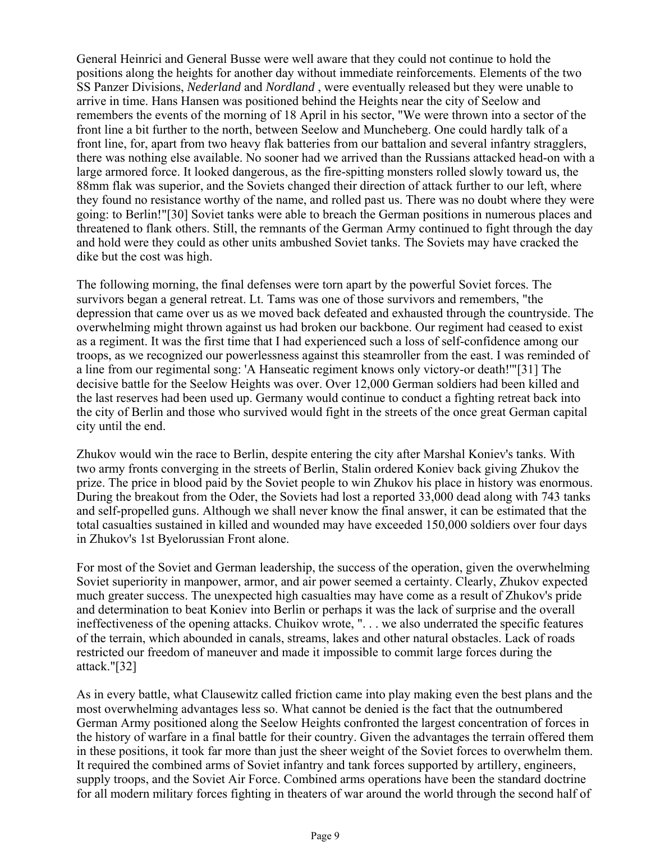General Heinrici and General Busse were well aware that they could not continue to hold the positions along the heights for another day without immediate reinforcements. Elements of the two SS Panzer Divisions, *Nederland* and *Nordland* , were eventually released but they were unable to arrive in time. Hans Hansen was positioned behind the Heights near the city of Seelow and remembers the events of the morning of 18 April in his sector, "We were thrown into a sector of the front line a bit further to the north, between Seelow and Muncheberg. One could hardly talk of a front line, for, apart from two heavy flak batteries from our battalion and several infantry stragglers, there was nothing else available. No sooner had we arrived than the Russians attacked head-on with a large armored force. It looked dangerous, as the fire-spitting monsters rolled slowly toward us, the 88mm flak was superior, and the Soviets changed their direction of attack further to our left, where they found no resistance worthy of the name, and rolled past us. There was no doubt where they were going: to Berlin!"[30] Soviet tanks were able to breach the German positions in numerous places and threatened to flank others. Still, the remnants of the German Army continued to fight through the day and hold were they could as other units ambushed Soviet tanks. The Soviets may have cracked the dike but the cost was high.

The following morning, the final defenses were torn apart by the powerful Soviet forces. The survivors began a general retreat. Lt. Tams was one of those survivors and remembers, "the depression that came over us as we moved back defeated and exhausted through the countryside. The overwhelming might thrown against us had broken our backbone. Our regiment had ceased to exist as a regiment. It was the first time that I had experienced such a loss of self-confidence among our troops, as we recognized our powerlessness against this steamroller from the east. I was reminded of a line from our regimental song: 'A Hanseatic regiment knows only victory-or death!'"[31] The decisive battle for the Seelow Heights was over. Over 12,000 German soldiers had been killed and the last reserves had been used up. Germany would continue to conduct a fighting retreat back into the city of Berlin and those who survived would fight in the streets of the once great German capital city until the end.

Zhukov would win the race to Berlin, despite entering the city after Marshal Koniev's tanks. With two army fronts converging in the streets of Berlin, Stalin ordered Koniev back giving Zhukov the prize. The price in blood paid by the Soviet people to win Zhukov his place in history was enormous. During the breakout from the Oder, the Soviets had lost a reported 33,000 dead along with 743 tanks and self-propelled guns. Although we shall never know the final answer, it can be estimated that the total casualties sustained in killed and wounded may have exceeded 150,000 soldiers over four days in Zhukov's 1st Byelorussian Front alone.

For most of the Soviet and German leadership, the success of the operation, given the overwhelming Soviet superiority in manpower, armor, and air power seemed a certainty. Clearly, Zhukov expected much greater success. The unexpected high casualties may have come as a result of Zhukov's pride and determination to beat Koniev into Berlin or perhaps it was the lack of surprise and the overall ineffectiveness of the opening attacks. Chuikov wrote, ". . . we also underrated the specific features of the terrain, which abounded in canals, streams, lakes and other natural obstacles. Lack of roads restricted our freedom of maneuver and made it impossible to commit large forces during the attack."[32]

As in every battle, what Clausewitz called friction came into play making even the best plans and the most overwhelming advantages less so. What cannot be denied is the fact that the outnumbered German Army positioned along the Seelow Heights confronted the largest concentration of forces in the history of warfare in a final battle for their country. Given the advantages the terrain offered them in these positions, it took far more than just the sheer weight of the Soviet forces to overwhelm them. It required the combined arms of Soviet infantry and tank forces supported by artillery, engineers, supply troops, and the Soviet Air Force. Combined arms operations have been the standard doctrine for all modern military forces fighting in theaters of war around the world through the second half of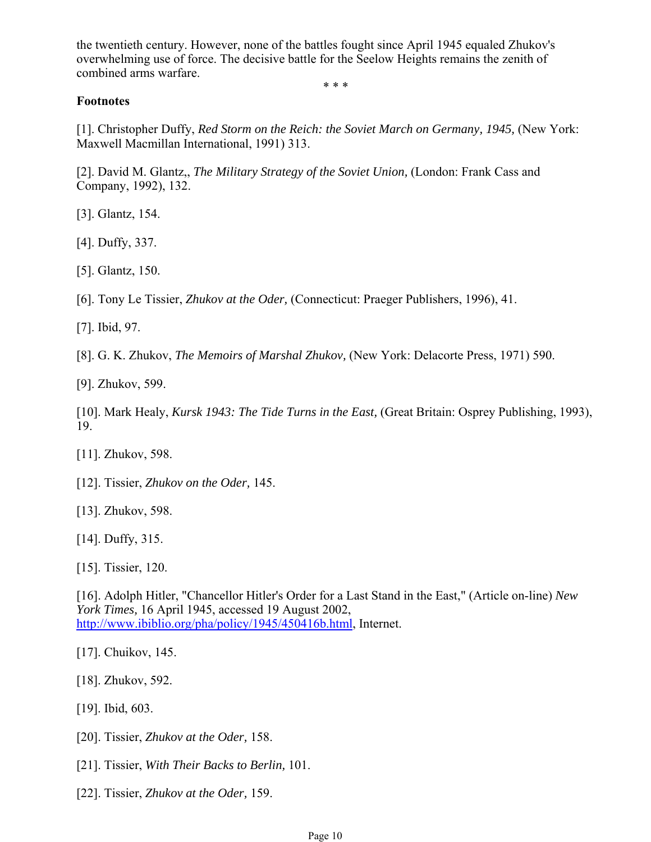the twentieth century. However, none of the battles fought since April 1945 equaled Zhukov's overwhelming use of force. The decisive battle for the Seelow Heights remains the zenith of combined arms warfare.

\* \* \*

#### **Footnotes**

[1]. Christopher Duffy, *Red Storm on the Reich: the Soviet March on Germany, 1945,* (New York: Maxwell Macmillan International, 1991) 313.

[2]. David M. Glantz,, *The Military Strategy of the Soviet Union,* (London: Frank Cass and Company, 1992), 132.

[3]. Glantz, 154.

[4]. Duffy, 337.

[5]. Glantz, 150.

[6]. Tony Le Tissier, *Zhukov at the Oder,* (Connecticut: Praeger Publishers, 1996), 41.

[7]. Ibid, 97.

[8]. G. K. Zhukov, *The Memoirs of Marshal Zhukov,* (New York: Delacorte Press, 1971) 590.

[9]. Zhukov, 599.

[10]. Mark Healy, *Kursk 1943: The Tide Turns in the East,* (Great Britain: Osprey Publishing, 1993), 19.

[11]. Zhukov, 598.

[12]. Tissier, *Zhukov on the Oder,* 145.

[13]. Zhukov, 598.

[14]. Duffy, 315.

[15]. Tissier, 120.

[16]. Adolph Hitler, "Chancellor Hitler's Order for a Last Stand in the East," (Article on-line) *New York Times,* 16 April 1945, accessed 19 August 2002, http://www.ibiblio.org/pha/policy/1945/450416b.html, Internet.

[17]. Chuikov, 145.

[18]. Zhukov, 592.

[19]. Ibid, 603.

[20]. Tissier, *Zhukov at the Oder,* 158.

[21]. Tissier, *With Their Backs to Berlin,* 101.

[22]. Tissier, *Zhukov at the Oder,* 159.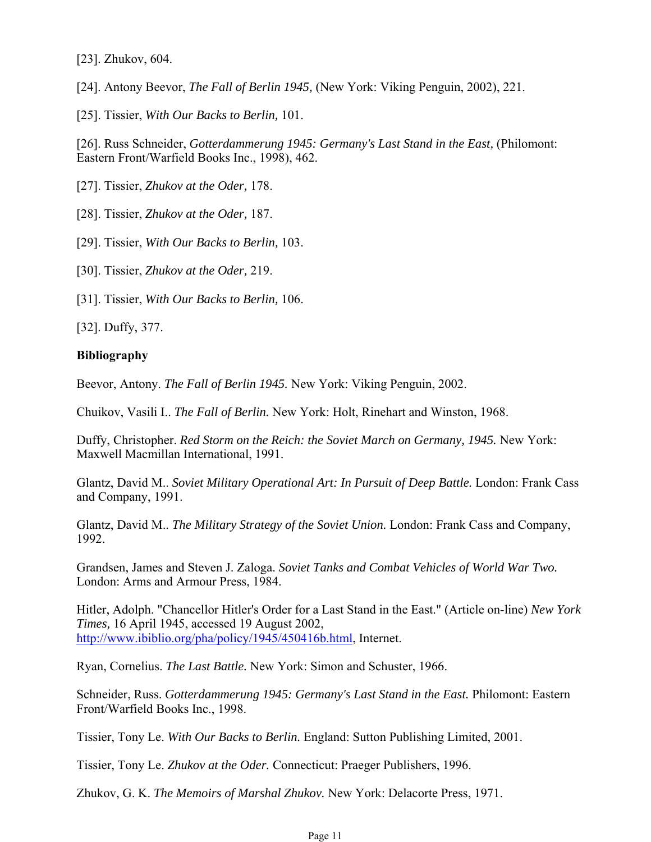[23]. Zhukov, 604.

[24]. Antony Beevor, *The Fall of Berlin 1945,* (New York: Viking Penguin, 2002), 221.

[25]. Tissier, *With Our Backs to Berlin,* 101.

[26]. Russ Schneider, *Gotterdammerung 1945: Germany's Last Stand in the East,* (Philomont: Eastern Front/Warfield Books Inc., 1998), 462.

[27]. Tissier, *Zhukov at the Oder,* 178.

[28]. Tissier, *Zhukov at the Oder,* 187.

[29]. Tissier, *With Our Backs to Berlin,* 103.

[30]. Tissier, *Zhukov at the Oder,* 219.

[31]. Tissier, *With Our Backs to Berlin,* 106.

[32]. Duffy, 377.

## **Bibliography**

Beevor, Antony. *The Fall of Berlin 1945.* New York: Viking Penguin, 2002.

Chuikov, Vasili I.. *The Fall of Berlin.* New York: Holt, Rinehart and Winston, 1968.

Duffy, Christopher. *Red Storm on the Reich: the Soviet March on Germany, 1945.* New York: Maxwell Macmillan International, 1991.

Glantz, David M.. *Soviet Military Operational Art: In Pursuit of Deep Battle.* London: Frank Cass and Company, 1991.

Glantz, David M.. *The Military Strategy of the Soviet Union.* London: Frank Cass and Company, 1992.

Grandsen, James and Steven J. Zaloga. *Soviet Tanks and Combat Vehicles of World War Two.* London: Arms and Armour Press, 1984.

Hitler, Adolph. "Chancellor Hitler's Order for a Last Stand in the East." (Article on-line) *New York Times,* 16 April 1945, accessed 19 August 2002, http://www.ibiblio.org/pha/policy/1945/450416b.html, Internet.

Ryan, Cornelius. *The Last Battle.* New York: Simon and Schuster, 1966.

Schneider, Russ. *Gotterdammerung 1945: Germany's Last Stand in the East.* Philomont: Eastern Front/Warfield Books Inc., 1998.

Tissier, Tony Le. *With Our Backs to Berlin.* England: Sutton Publishing Limited, 2001.

Tissier, Tony Le. *Zhukov at the Oder.* Connecticut: Praeger Publishers, 1996.

Zhukov, G. K. *The Memoirs of Marshal Zhukov.* New York: Delacorte Press, 1971.